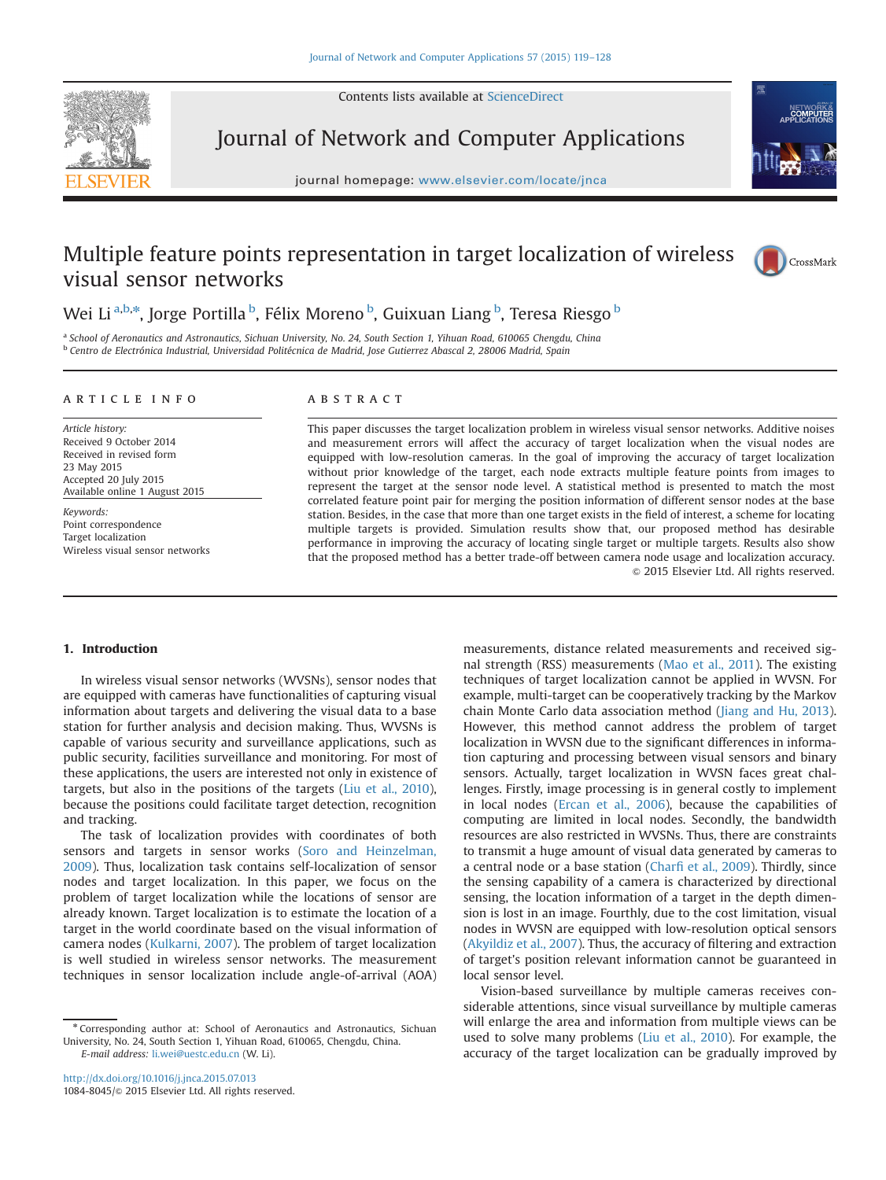Contents lists available at [ScienceDirect](www.sciencedirect.com/science/journal/10848045)



Journal of Network and Computer Applications

journal homepage: where  $j$ 



# Multiple feature points representation in target localization of wireless visual sensor networks



Wei Li<sup>a,b,</sup>\*, Jorge Portilla <sup>b</sup>, Félix Moreno <sup>b</sup>, Guixuan Liang <sup>b</sup>, Teresa Riesgo <sup>b</sup>

a School of Aeronautics and Astronautics, Sichuan University, No. 24, South Section 1, Yihuan Road, 610065 Chengdu, China <sup>b</sup> Centro de Electrónica Industrial, Universidad Politécnica de Madrid, Jose Gutierrez Abascal 2, 28006 Madrid, Spain

#### article info

Article history: Received 9 October 2014 Received in revised form 23 May 2015 Accepted 20 July 2015 Available online 1 August 2015

Keywords: Point correspondence Target localization Wireless visual sensor networks

## **ABSTRACT**

This paper discusses the target localization problem in wireless visual sensor networks. Additive noises and measurement errors will affect the accuracy of target localization when the visual nodes are equipped with low-resolution cameras. In the goal of improving the accuracy of target localization without prior knowledge of the target, each node extracts multiple feature points from images to represent the target at the sensor node level. A statistical method is presented to match the most correlated feature point pair for merging the position information of different sensor nodes at the base station. Besides, in the case that more than one target exists in the field of interest, a scheme for locating multiple targets is provided. Simulation results show that, our proposed method has desirable performance in improving the accuracy of locating single target or multiple targets. Results also show that the proposed method has a better trade-off between camera node usage and localization accuracy. & 2015 Elsevier Ltd. All rights reserved.

#### 1. Introduction

In wireless visual sensor networks (WVSNs), sensor nodes that are equipped with cameras have functionalities of capturing visual information about targets and delivering the visual data to a base station for further analysis and decision making. Thus, WVSNs is capable of various security and surveillance applications, such as public security, facilities surveillance and monitoring. For most of these applications, the users are interested not only in existence of targets, but also in the positions of the targets (Liu et al., 2010), because the positions could facilitate target detection, recognition and tracking.

The task of localization provides with coordinates of both sensors and targets in sensor works (Soro and Heinzelman, 2009). Thus, localization task contains self-localization of sensor nodes and target localization. In this paper, we focus on the problem of target localization while the locations of sensor are already known. Target localization is to estimate the location of a target in the world coordinate based on the visual information of camera nodes (Kulkarni, 2007). The problem of target localization is well studied in wireless sensor networks. The measurement techniques in sensor localization include angle-of-arrival (AOA)

measurements, distance related measurements and received signal strength (RSS) measurements (Mao et al., 2011). The existing techniques of target localization cannot be applied in WVSN. For example, multi-target can be cooperatively tracking by the Markov chain Monte Carlo data association method (Jiang and Hu, 2013). However, this method cannot address the problem of target localization in WVSN due to the significant differences in information capturing and processing between visual sensors and binary sensors. Actually, target localization in WVSN faces great challenges. Firstly, image processing is in general costly to implement in local nodes (Ercan et al., 2006), because the capabilities of computing are limited in local nodes. Secondly, the bandwidth resources are also restricted in WVSNs. Thus, there are constraints to transmit a huge amount of visual data generated by cameras to a central node or a base station (Charfi et al., 2009). Thirdly, since the sensing capability of a camera is characterized by directional sensing, the location information of a target in the depth dimension is lost in an image. Fourthly, due to the cost limitation, visual nodes in WVSN are equipped with low-resolution optical sensors (Akyildiz et al., 2007). Thus, the accuracy of filtering and extraction of target's position relevant information cannot be guaranteed in local sensor level.

Vision-based surveillance by multiple cameras receives considerable attentions, since visual surveillance by multiple cameras will enlarge the area and information from multiple views can be used to solve many problems (Liu et al., 2010). For example, the accuracy of the target localization can be gradually improved by

<sup>n</sup> Corresponding author at: School of Aeronautics and Astronautics, Sichuan University, No. 24, South Section 1, Yihuan Road, 610065, Chengdu, China. E-mail address: [li.wei@uestc.edu.cn](mailto:li.wei@uestc.edu.cn) (W. Li).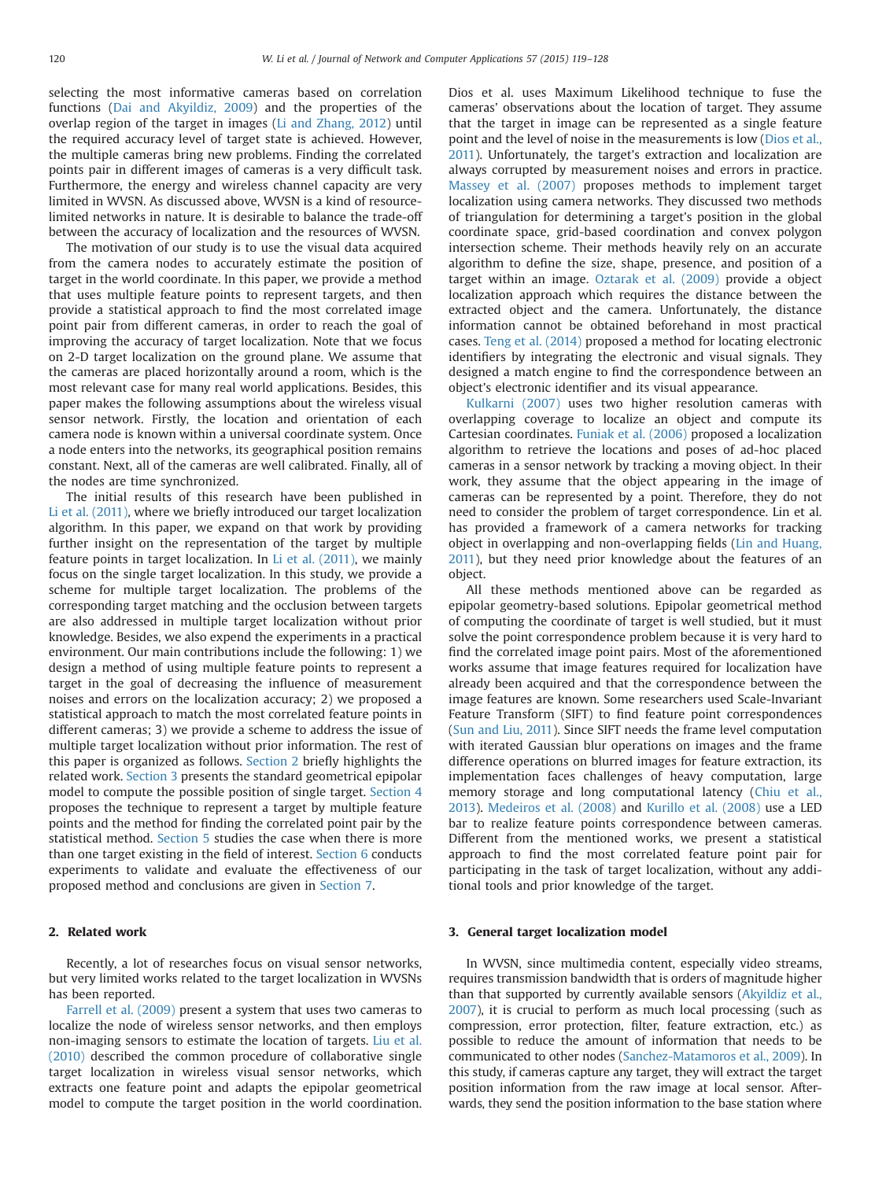selecting the most informative cameras based on correlation functions (Dai and Akyildiz, 2009) and the properties of the overlap region of the target in images (Li and Zhang, 2012) until the required accuracy level of target state is achieved. However, the multiple cameras bring new problems. Finding the correlated points pair in different images of cameras is a very difficult task. Furthermore, the energy and wireless channel capacity are very limited in WVSN. As discussed above, WVSN is a kind of resourcelimited networks in nature. It is desirable to balance the trade-off between the accuracy of localization and the resources of WVSN.

The motivation of our study is to use the visual data acquired from the camera nodes to accurately estimate the position of target in the world coordinate. In this paper, we provide a method that uses multiple feature points to represent targets, and then provide a statistical approach to find the most correlated image point pair from different cameras, in order to reach the goal of improving the accuracy of target localization. Note that we focus on 2-D target localization on the ground plane. We assume that the cameras are placed horizontally around a room, which is the most relevant case for many real world applications. Besides, this paper makes the following assumptions about the wireless visual sensor network. Firstly, the location and orientation of each camera node is known within a universal coordinate system. Once a node enters into the networks, its geographical position remains constant. Next, all of the cameras are well calibrated. Finally, all of the nodes are time synchronized.

The initial results of this research have been published in Li et al. (2011), where we briefly introduced our target localization algorithm. In this paper, we expand on that work by providing further insight on the representation of the target by multiple feature points in target localization. In Li et al. (2011), we mainly focus on the single target localization. In this study, we provide a scheme for multiple target localization. The problems of the corresponding target matching and the occlusion between targets are also addressed in multiple target localization without prior knowledge. Besides, we also expend the experiments in a practical environment. Our main contributions include the following: 1) we design a method of using multiple feature points to represent a target in the goal of decreasing the influence of measurement noises and errors on the localization accuracy; 2) we proposed a statistical approach to match the most correlated feature points in different cameras; 3) we provide a scheme to address the issue of multiple target localization without prior information. The rest of this paper is organized as follows. Section 2 briefly highlights the related work. Section 3 presents the standard geometrical epipolar model to compute the possible position of single target. Section 4 proposes the technique to represent a target by multiple feature points and the method for finding the correlated point pair by the statistical method. Section 5 studies the case when there is more than one target existing in the field of interest. Section 6 conducts experiments to validate and evaluate the effectiveness of our proposed method and conclusions are given in Section 7.

### 2. Related work

Recently, a lot of researches focus on visual sensor networks, but very limited works related to the target localization in WVSNs has been reported.

Farrell et al. (2009) present a system that uses two cameras to localize the node of wireless sensor networks, and then employs non-imaging sensors to estimate the location of targets. Liu et al. (2010) described the common procedure of collaborative single target localization in wireless visual sensor networks, which extracts one feature point and adapts the epipolar geometrical model to compute the target position in the world coordination. Dios et al. uses Maximum Likelihood technique to fuse the cameras' observations about the location of target. They assume that the target in image can be represented as a single feature point and the level of noise in the measurements is low (Dios et al., 2011). Unfortunately, the target's extraction and localization are always corrupted by measurement noises and errors in practice. Massey et al. (2007) proposes methods to implement target localization using camera networks. They discussed two methods of triangulation for determining a target's position in the global coordinate space, grid-based coordination and convex polygon intersection scheme. Their methods heavily rely on an accurate algorithm to define the size, shape, presence, and position of a target within an image. Oztarak et al. (2009) provide a object localization approach which requires the distance between the extracted object and the camera. Unfortunately, the distance information cannot be obtained beforehand in most practical cases. Teng et al. (2014) proposed a method for locating electronic identifiers by integrating the electronic and visual signals. They designed a match engine to find the correspondence between an object's electronic identifier and its visual appearance.

Kulkarni (2007) uses two higher resolution cameras with overlapping coverage to localize an object and compute its Cartesian coordinates. Funiak et al. (2006) proposed a localization algorithm to retrieve the locations and poses of ad-hoc placed cameras in a sensor network by tracking a moving object. In their work, they assume that the object appearing in the image of cameras can be represented by a point. Therefore, they do not need to consider the problem of target correspondence. Lin et al. has provided a framework of a camera networks for tracking object in overlapping and non-overlapping fields (Lin and Huang, 2011), but they need prior knowledge about the features of an object.

All these methods mentioned above can be regarded as epipolar geometry-based solutions. Epipolar geometrical method of computing the coordinate of target is well studied, but it must solve the point correspondence problem because it is very hard to find the correlated image point pairs. Most of the aforementioned works assume that image features required for localization have already been acquired and that the correspondence between the image features are known. Some researchers used Scale-Invariant Feature Transform (SIFT) to find feature point correspondences (Sun and Liu, 2011). Since SIFT needs the frame level computation with iterated Gaussian blur operations on images and the frame difference operations on blurred images for feature extraction, its implementation faces challenges of heavy computation, large memory storage and long computational latency (Chiu et al., 2013). Medeiros et al. (2008) and Kurillo et al. (2008) use a LED bar to realize feature points correspondence between cameras. Different from the mentioned works, we present a statistical approach to find the most correlated feature point pair for participating in the task of target localization, without any additional tools and prior knowledge of the target.

#### 3. General target localization model

In WVSN, since multimedia content, especially video streams, requires transmission bandwidth that is orders of magnitude higher than that supported by currently available sensors (Akyildiz et al., 2007), it is crucial to perform as much local processing (such as compression, error protection, filter, feature extraction, etc.) as possible to reduce the amount of information that needs to be communicated to other nodes (Sanchez-Matamoros et al., 2009). In this study, if cameras capture any target, they will extract the target position information from the raw image at local sensor. Afterwards, they send the position information to the base station where